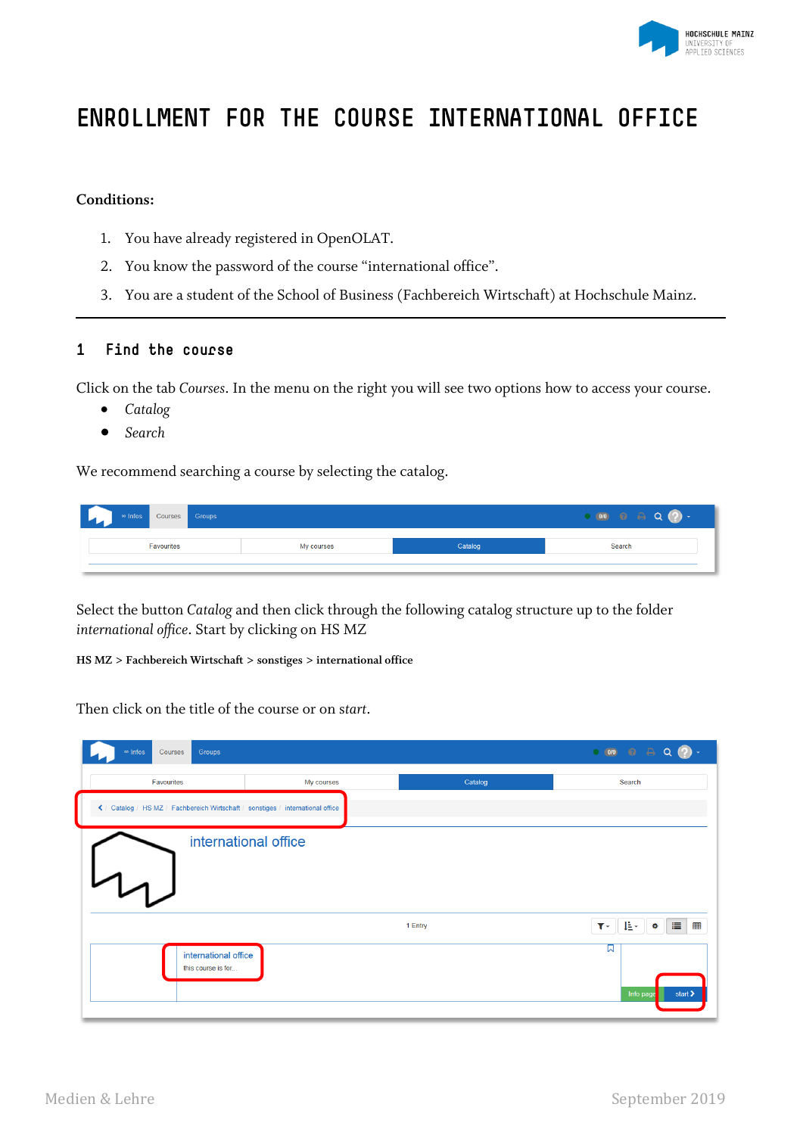

# **ENROLLMENT FOR THE COURSE INTERNATIONAL OFFICE**

## **Conditions:**

- 1. You have already registered in OpenOLAT.
- 2. You know the password of the course "international office".
- 3. You are a student of the School of Business (Fachbereich Wirtschaft) at Hochschule Mainz.

### **1 Find the course**

Click on the tab *Courses*. In the menu on the right you will see two options how to access your course.

- *Catalog*
- *Search*

We recommend searching a course by selecting the catalog.

| Courses Groups<br>$\infty$ Infos |            |         | ി<br>0/0 |
|----------------------------------|------------|---------|----------|
| Favourites                       | My courses | Catalog | Search   |
|                                  |            |         |          |

Select the button *Catalog* and then click through the following catalog structure up to the folder *international office*. Start by clicking on HS MZ

#### **HS MZ > Fachbereich Wirtschaft > sonstiges > international office**

Then click on the title of the course or on s*tart*.

| Groups<br>∞ Infos<br>Courses                                                    |                      |         | $\begin{array}{c} \circ & \circ \\ \circ & \circ \end{array}$ |
|---------------------------------------------------------------------------------|----------------------|---------|---------------------------------------------------------------|
| Favourites                                                                      | My courses           | Catalog | Search                                                        |
| く / Catalog / HS MZ / Fachbereich Wirtschaft / sonstiges / international office |                      |         |                                                               |
| $\tau$                                                                          | international office |         |                                                               |
|                                                                                 |                      | 1 Entry | 11<br>堆土<br>囲<br>$\mathbf{T}$<br>۰                            |
| international office<br>this course is for                                      |                      |         | ଇ<br>Info page<br>start >                                     |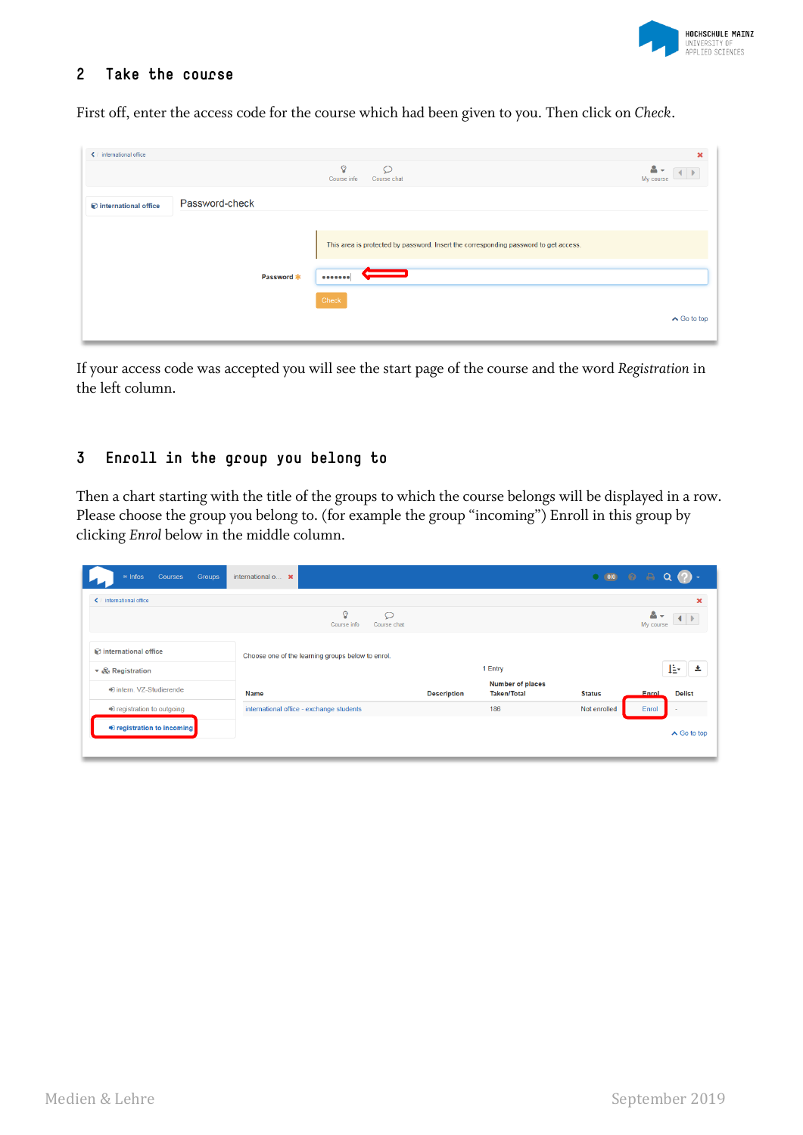

## **2 Take the course**

First off, enter the access code for the course which had been given to you. Then click on *Check*.

| ← / international office |                |            |                                                                                      | $\boldsymbol{\mathsf{x}}$ |
|--------------------------|----------------|------------|--------------------------------------------------------------------------------------|---------------------------|
|                          |                |            | $\Omega$<br>$\circ$<br>Course info<br>Course chat                                    | My course                 |
| international office     | Password-check |            |                                                                                      |                           |
|                          |                |            | This area is protected by password. Insert the corresponding password to get access. |                           |
|                          |                | Password * |                                                                                      |                           |
|                          |                |            | Check                                                                                | $\wedge$ Go to top        |

If your access code was accepted you will see the start page of the course and the word *Registration* in the left column.

# **3 Enroll in the group you belong to**

Then a chart starting with the title of the groups to which the course belongs will be displayed in a row. Please choose the group you belong to. (for example the group "incoming") Enroll in this group by clicking *Enrol* below in the middle column.

| $\infty$ Infos<br>Courses<br>Groups | international $o$ $x$                             |                    |                                               | O(0/0)        | $\bullet$<br>e         |
|-------------------------------------|---------------------------------------------------|--------------------|-----------------------------------------------|---------------|------------------------|
| ← international office              |                                                   |                    |                                               |               | ×                      |
|                                     | Q<br>$\circ$<br>Course info<br>Course chat        |                    |                                               |               | My course              |
| to international office             | Choose one of the learning groups below to enrol. |                    |                                               |               |                        |
| ▼ & Registration                    |                                                   |                    | 1 Entry                                       |               | l₿∙<br>s.              |
| ♦ intern. VZ-Studierende            | <b>Name</b>                                       | <b>Description</b> | <b>Number of places</b><br><b>Taken/Total</b> | <b>Status</b> | Enrol<br><b>Delist</b> |
| ♦ registration to outgoing          | international office - exchange students          |                    | 186                                           | Not enrolled  | Enrol                  |
| Degistration to incoming            |                                                   |                    |                                               |               | $\wedge$ Go to top     |
|                                     |                                                   |                    |                                               |               |                        |